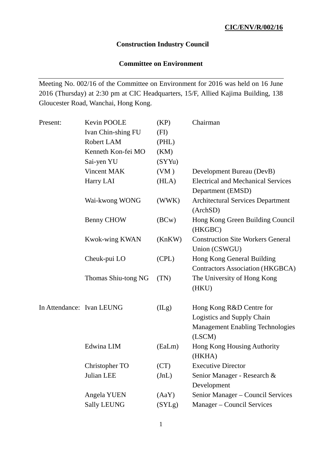# **Construction Industry Council**

# **Committee on Environment**

Meeting No. 002/16 of the Committee on Environment for 2016 was held on 16 June 2016 (Thursday) at 2:30 pm at CIC Headquarters, 15/F, Allied Kajima Building, 138 Gloucester Road, Wanchai, Hong Kong.

| Present:                  | Kevin POOLE           | (KP)   | Chairman                                                              |
|---------------------------|-----------------------|--------|-----------------------------------------------------------------------|
|                           | Ivan Chin-shing FU    | (FI)   |                                                                       |
|                           | Robert LAM            | (PHL)  |                                                                       |
|                           | Kenneth Kon-fei MO    | (KM)   |                                                                       |
|                           | Sai-yen YU            | (SYYu) |                                                                       |
|                           | Vincent MAK           | (VM)   | Development Bureau (DevB)                                             |
|                           | Harry LAI             | (HLA)  | <b>Electrical and Mechanical Services</b><br>Department (EMSD)        |
|                           | Wai-kwong WONG        | (WWK)  | <b>Architectural Services Department</b><br>(ArchSD)                  |
|                           | Benny CHOW            | (BCW)  | Hong Kong Green Building Council<br>(HKGBC)                           |
|                           | <b>Kwok-wing KWAN</b> | (KnKW) | <b>Construction Site Workers General</b><br>Union (CSWGU)             |
|                           | Cheuk-pui LO          | (CPL)  | Hong Kong General Building<br><b>Contractors Association (HKGBCA)</b> |
|                           | Thomas Shiu-tong NG   | (TN)   | The University of Hong Kong<br>(HKU)                                  |
| In Attendance: Ivan LEUNG |                       | (ILg)  | Hong Kong R&D Centre for                                              |
|                           |                       |        | Logistics and Supply Chain                                            |
|                           |                       |        | <b>Management Enabling Technologies</b><br>(LSCM)                     |
|                           | Edwina LIM            | (EaLm) | Hong Kong Housing Authority<br>(HKHA)                                 |
|                           | Christopher TO        | (CT)   | <b>Executive Director</b>                                             |
|                           | Julian LEE            | JnL)   | Senior Manager - Research &                                           |
|                           |                       |        | Development                                                           |
|                           | Angela YUEN           | (AaY)  | Senior Manager - Council Services                                     |
|                           | <b>Sally LEUNG</b>    | (SYLg) | Manager – Council Services                                            |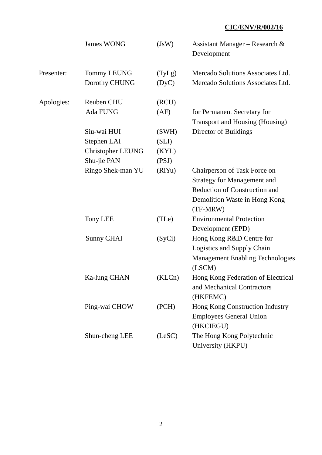|            | <b>James WONG</b>        | (JsW)  | Assistant Manager – Research &<br>Development |
|------------|--------------------------|--------|-----------------------------------------------|
| Presenter: | <b>Tommy LEUNG</b>       | (TyLg) | Mercado Solutions Associates Ltd.             |
|            | Dorothy CHUNG            | (DyC)  | Mercado Solutions Associates Ltd.             |
| Apologies: | <b>Reuben CHU</b>        | (RCU)  |                                               |
|            | Ada FUNG                 | (AF)   | for Permanent Secretary for                   |
|            |                          |        | Transport and Housing (Housing)               |
|            | Siu-wai HUI              | (SWH)  | Director of Buildings                         |
|            | Stephen LAI              | (SLI)  |                                               |
|            | <b>Christopher LEUNG</b> | (KYL)  |                                               |
|            | Shu-jie PAN              | (PSJ)  |                                               |
|            | Ringo Shek-man YU        | (RiYu) | Chairperson of Task Force on                  |
|            |                          |        | <b>Strategy for Management and</b>            |
|            |                          |        | Reduction of Construction and                 |
|            |                          |        | Demolition Waste in Hong Kong                 |
|            |                          |        | (TF-MRW)                                      |
|            | <b>Tony LEE</b>          | (TLe)  | <b>Environmental Protection</b>               |
|            |                          |        | Development (EPD)                             |
|            | Sunny CHAI               | (SyCi) | Hong Kong R&D Centre for                      |
|            |                          |        | Logistics and Supply Chain                    |
|            |                          |        | <b>Management Enabling Technologies</b>       |
|            |                          |        | (LSCM)                                        |
|            | Ka-lung CHAN             | (KLCn) | Hong Kong Federation of Electrical            |
|            |                          |        | and Mechanical Contractors                    |
|            |                          |        | (HKFEMC)                                      |
|            | Ping-wai CHOW            | (PCH)  | Hong Kong Construction Industry               |
|            |                          |        | <b>Employees General Union</b>                |
|            |                          |        | (HKCIEGU)                                     |
|            | Shun-cheng LEE           | (LeSC) | The Hong Kong Polytechnic                     |
|            |                          |        | University (HKPU)                             |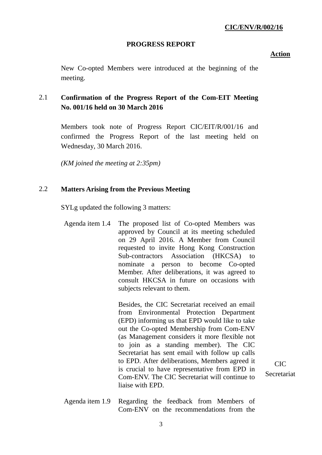#### **PROGRESS REPORT**

**Action**

New Co-opted Members were introduced at the beginning of the meeting.

# 2.1 **Confirmation of the Progress Report of the Com-EIT Meeting No. 001/16 held on 30 March 2016**

Members took note of Progress Report CIC/EIT/R/001/16 and confirmed the Progress Report of the last meeting held on Wednesday, 30 March 2016.

*(KM joined the meeting at 2:35pm)*

### 2.2 **Matters Arising from the Previous Meeting**

SYLg updated the following 3 matters:

Agenda item 1.4 The proposed list of Co-opted Members was approved by Council at its meeting scheduled on 29 April 2016. A Member from Council requested to invite Hong Kong Construction Sub-contractors Association (HKCSA) nominate a person to become Co-opted Member. After deliberations, it was agreed to consult HKCSA in future on occasions with subjects relevant to them.

> Besides, the CIC Secretariat received an email from Environmental Protection Department (EPD) informing us that EPD would like to take out the Co-opted Membership from Com-ENV (as Management considers it more flexible not to join as a standing member). The CIC Secretariat has sent email with follow up calls to EPD. After deliberations, Members agreed it is crucial to have representative from EPD in Com-ENV. The CIC Secretariat will continue to liaise with EPD.

CIC **Secretariat** 

Agenda item 1.9 Regarding the feedback from Members of Com-ENV on the recommendations from the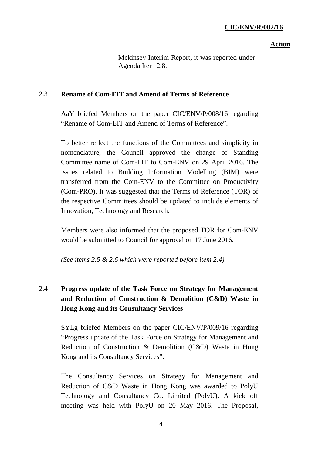# **Action**

Mckinsey Interim Report, it was reported under Agenda Item 2.8.

# 2.3 **Rename of Com-EIT and Amend of Terms of Reference**

AaY briefed Members on the paper CIC/ENV/P/008/16 regarding "Rename of Com-EIT and Amend of Terms of Reference".

To better reflect the functions of the Committees and simplicity in nomenclature, the Council approved the change of Standing Committee name of Com-EIT to Com-ENV on 29 April 2016. The issues related to Building Information Modelling (BIM) were transferred from the Com-ENV to the Committee on Productivity (Com-PRO). It was suggested that the Terms of Reference (TOR) of the respective Committees should be updated to include elements of Innovation, Technology and Research.

Members were also informed that the proposed TOR for Com-ENV would be submitted to Council for approval on 17 June 2016.

*(See items 2.5 & 2.6 which were reported before item 2.4)*

# 2.4 **Progress update of the Task Force on Strategy for Management and Reduction of Construction & Demolition (C&D) Waste in Hong Kong and its Consultancy Services**

SYLg briefed Members on the paper CIC/ENV/P/009/16 regarding "Progress update of the Task Force on Strategy for Management and Reduction of Construction & Demolition (C&D) Waste in Hong Kong and its Consultancy Services".

The Consultancy Services on Strategy for Management and Reduction of C&D Waste in Hong Kong was awarded to PolyU Technology and Consultancy Co. Limited (PolyU). A kick off meeting was held with PolyU on 20 May 2016. The Proposal,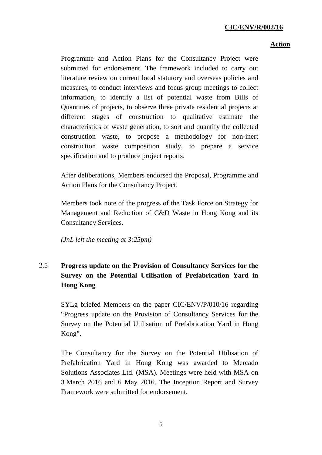# **Action**

Programme and Action Plans for the Consultancy Project were submitted for endorsement. The framework included to carry out literature review on current local statutory and overseas policies and measures, to conduct interviews and focus group meetings to collect information, to identify a list of potential waste from Bills of Quantities of projects, to observe three private residential projects at different stages of construction to qualitative estimate the characteristics of waste generation, to sort and quantify the collected construction waste, to propose a methodology for non-inert construction waste composition study, to prepare a service specification and to produce project reports.

After deliberations, Members endorsed the Proposal, Programme and Action Plans for the Consultancy Project.

Members took note of the progress of the Task Force on Strategy for Management and Reduction of C&D Waste in Hong Kong and its Consultancy Services.

*(JnL left the meeting at 3:25pm)*

# 2.5 **Progress update on the Provision of Consultancy Services for the Survey on the Potential Utilisation of Prefabrication Yard in Hong Kong**

SYLg briefed Members on the paper CIC/ENV/P/010/16 regarding "Progress update on the Provision of Consultancy Services for the Survey on the Potential Utilisation of Prefabrication Yard in Hong Kong".

The Consultancy for the Survey on the Potential Utilisation of Prefabrication Yard in Hong Kong was awarded to Mercado Solutions Associates Ltd. (MSA). Meetings were held with MSA on 3 March 2016 and 6 May 2016. The Inception Report and Survey Framework were submitted for endorsement.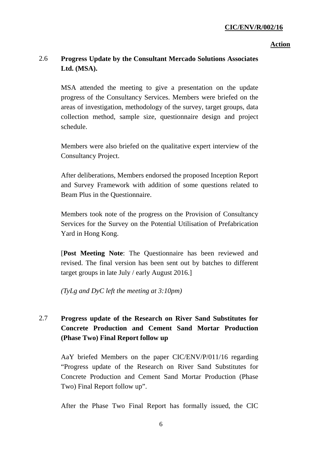# **Action**

#### 2.6 **Progress Update by the Consultant Mercado Solutions Associates Ltd. (MSA).**

MSA attended the meeting to give a presentation on the update progress of the Consultancy Services. Members were briefed on the areas of investigation, methodology of the survey, target groups, data collection method, sample size, questionnaire design and project schedule.

Members were also briefed on the qualitative expert interview of the Consultancy Project.

After deliberations, Members endorsed the proposed Inception Report and Survey Framework with addition of some questions related to Beam Plus in the Questionnaire.

Members took note of the progress on the Provision of Consultancy Services for the Survey on the Potential Utilisation of Prefabrication Yard in Hong Kong.

[**Post Meeting Note**: The Questionnaire has been reviewed and revised. The final version has been sent out by batches to different target groups in late July / early August 2016.]

*(TyLg and DyC left the meeting at 3:10pm)*

# 2.7 **Progress update of the Research on River Sand Substitutes for Concrete Production and Cement Sand Mortar Production (Phase Two) Final Report follow up**

AaY briefed Members on the paper CIC/ENV/P/011/16 regarding "Progress update of the Research on River Sand Substitutes for Concrete Production and Cement Sand Mortar Production (Phase Two) Final Report follow up".

After the Phase Two Final Report has formally issued, the CIC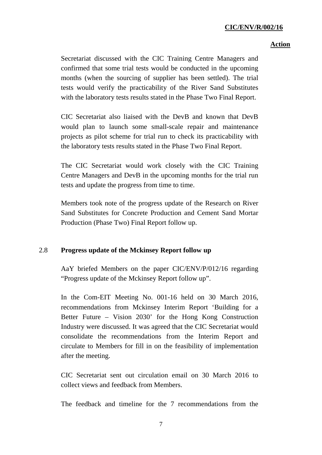### **Action**

Secretariat discussed with the CIC Training Centre Managers and confirmed that some trial tests would be conducted in the upcoming months (when the sourcing of supplier has been settled). The trial tests would verify the practicability of the River Sand Substitutes with the laboratory tests results stated in the Phase Two Final Report.

CIC Secretariat also liaised with the DevB and known that DevB would plan to launch some small-scale repair and maintenance projects as pilot scheme for trial run to check its practicability with the laboratory tests results stated in the Phase Two Final Report.

The CIC Secretariat would work closely with the CIC Training Centre Managers and DevB in the upcoming months for the trial run tests and update the progress from time to time.

Members took note of the progress update of the Research on River Sand Substitutes for Concrete Production and Cement Sand Mortar Production (Phase Two) Final Report follow up.

### 2.8 **Progress update of the Mckinsey Report follow up**

AaY briefed Members on the paper CIC/ENV/P/012/16 regarding "Progress update of the Mckinsey Report follow up".

In the Com-EIT Meeting No. 001-16 held on 30 March 2016, recommendations from Mckinsey Interim Report 'Building for a Better Future – Vision 2030' for the Hong Kong Construction Industry were discussed. It was agreed that the CIC Secretariat would consolidate the recommendations from the Interim Report and circulate to Members for fill in on the feasibility of implementation after the meeting.

CIC Secretariat sent out circulation email on 30 March 2016 to collect views and feedback from Members.

The feedback and timeline for the 7 recommendations from the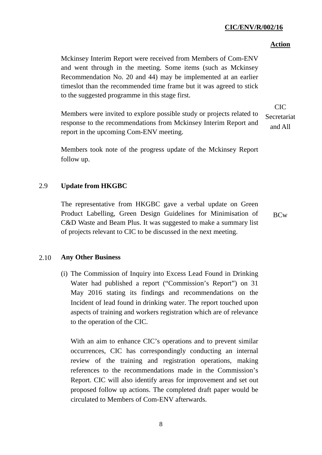# **Action**

Mckinsey Interim Report were received from Members of Com-ENV and went through in the meeting. Some items (such as Mckinsey Recommendation No. 20 and 44) may be implemented at an earlier timeslot than the recommended time frame but it was agreed to stick to the suggested programme in this stage first.

Members were invited to explore possible study or projects related to response to the recommendations from Mckinsey Interim Report and report in the upcoming Com-ENV meeting. CIC Secretariat and All

Members took note of the progress update of the Mckinsey Report follow up.

# 2.9 **Update from HKGBC**

The representative from HKGBC gave a verbal update on Green Product Labelling, Green Design Guidelines for Minimisation of C&D Waste and Beam Plus. It was suggested to make a summary list of projects relevant to CIC to be discussed in the next meeting.

BCw

### 2.10 **Any Other Business**

(i) The Commission of Inquiry into Excess Lead Found in Drinking Water had published a report ("Commission's Report") on 31 May 2016 stating its findings and recommendations on the Incident of lead found in drinking water. The report touched upon aspects of training and workers registration which are of relevance to the operation of the CIC.

With an aim to enhance CIC's operations and to prevent similar occurrences, CIC has correspondingly conducting an internal review of the training and registration operations, making references to the recommendations made in the Commission's Report. CIC will also identify areas for improvement and set out proposed follow up actions. The completed draft paper would be circulated to Members of Com-ENV afterwards.